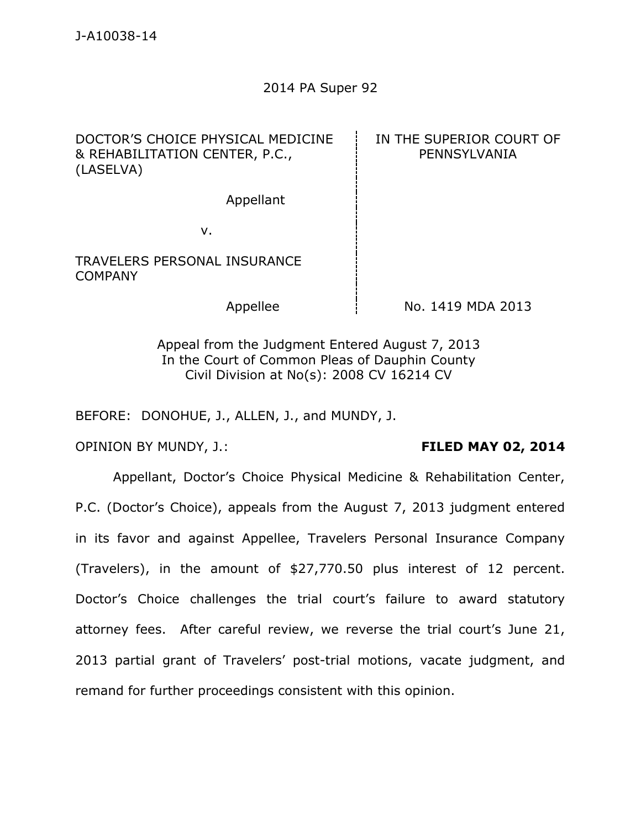## 2014 PA Super 92

DOCTOR'S CHOICE PHYSICAL MEDICINE & REHABILITATION CENTER, P.C., (LASELVA) IN THE SUPERIOR COURT OF PENNSYLVANIA Appellant v. TRAVELERS PERSONAL INSURANCE COMPANY Appellee  $\parallel$  No. 1419 MDA 2013

> Appeal from the Judgment Entered August 7, 2013 In the Court of Common Pleas of Dauphin County Civil Division at No(s): 2008 CV 16214 CV

BEFORE: DONOHUE, J., ALLEN, J., and MUNDY, J.

OPINION BY MUNDY, J.: **FILED MAY 02, 2014** 

Appellant, Doctor's Choice Physical Medicine & Rehabilitation Center, P.C. (Doctor's Choice), appeals from the August 7, 2013 judgment entered in its favor and against Appellee, Travelers Personal Insurance Company (Travelers), in the amount of \$27,770.50 plus interest of 12 percent. Doctor's Choice challenges the trial court's failure to award statutory attorney fees. After careful review, we reverse the trial court's June 21, 2013 partial grant of Travelers' post-trial motions, vacate judgment, and remand for further proceedings consistent with this opinion.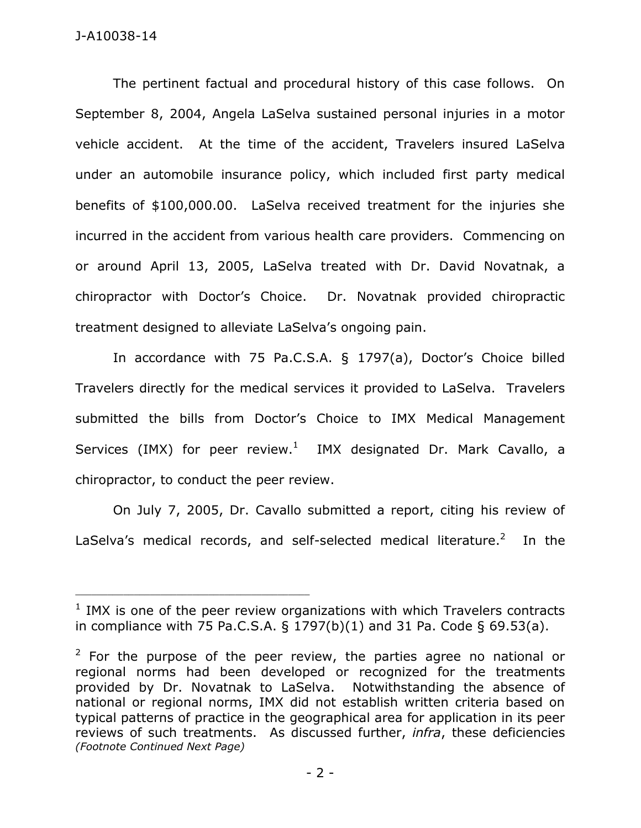The pertinent factual and procedural history of this case follows. On September 8, 2004, Angela LaSelva sustained personal injuries in a motor vehicle accident. At the time of the accident, Travelers insured LaSelva under an automobile insurance policy, which included first party medical benefits of \$100,000.00. LaSelva received treatment for the injuries she incurred in the accident from various health care providers. Commencing on or around April 13, 2005, LaSelva treated with Dr. David Novatnak, a chiropractor with Doctor's Choice. Dr. Novatnak provided chiropractic treatment designed to alleviate LaSelva's ongoing pain.

In accordance with 75 Pa.C.S.A. § 1797(a), Doctor's Choice billed Travelers directly for the medical services it provided to LaSelva. Travelers submitted the bills from Doctor's Choice to IMX Medical Management Services (IMX) for peer review. $1$  IMX designated Dr. Mark Cavallo, a chiropractor, to conduct the peer review.

On July 7, 2005, Dr. Cavallo submitted a report, citing his review of LaSelva's medical records, and self-selected medical literature. $2$  In the

 $1$  IMX is one of the peer review organizations with which Travelers contracts in compliance with 75 Pa.C.S.A.  $\S$  1797(b)(1) and 31 Pa. Code  $\S$  69.53(a).

 $2$  For the purpose of the peer review, the parties agree no national or regional norms had been developed or recognized for the treatments provided by Dr. Novatnak to LaSelva. Notwithstanding the absence of national or regional norms, IMX did not establish written criteria based on typical patterns of practice in the geographical area for application in its peer reviews of such treatments. As discussed further, *infra*, these deficiencies *(Footnote Continued Next Page)*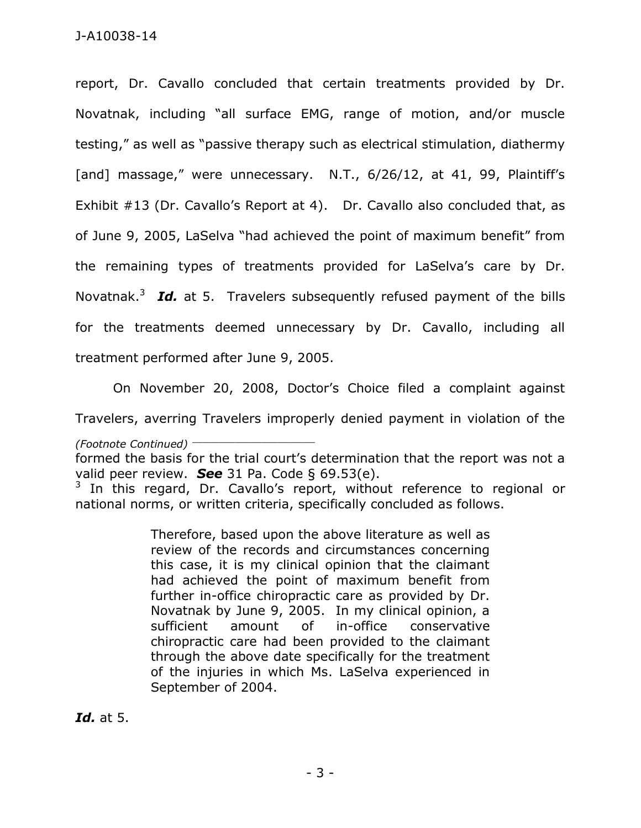report, Dr. Cavallo concluded that certain treatments provided by Dr. Novatnak, including "all surface EMG, range of motion, and/or muscle testing," as well as "passive therapy such as electrical stimulation, diathermy [and] massage," were unnecessary. N.T., 6/26/12, at 41, 99, Plaintiff's Exhibit #13 (Dr. Cavallo's Report at 4). Dr. Cavallo also concluded that, as of June 9, 2005, LaSelva "had achieved the point of maximum benefit" from the remaining types of treatments provided for LaSelva's care by Dr. Novatnak.<sup>3</sup> Id. at 5. Travelers subsequently refused payment of the bills for the treatments deemed unnecessary by Dr. Cavallo, including all treatment performed after June 9, 2005.

On November 20, 2008, Doctor's Choice filed a complaint against

Travelers, averring Travelers improperly denied payment in violation of the

*(Footnote Continued)* \_\_\_\_\_\_\_\_\_\_\_\_\_\_\_\_\_\_\_\_\_\_\_

Therefore, based upon the above literature as well as review of the records and circumstances concerning this case, it is my clinical opinion that the claimant had achieved the point of maximum benefit from further in-office chiropractic care as provided by Dr. Novatnak by June 9, 2005. In my clinical opinion, a sufficient amount of in-office conservative chiropractic care had been provided to the claimant through the above date specifically for the treatment of the injuries in which Ms. LaSelva experienced in September of 2004.

*Id.* at 5.

formed the basis for the trial court's determination that the report was not a valid peer review. *See* 31 Pa. Code § 69.53(e).

 $3$  In this regard, Dr. Cavallo's report, without reference to regional or national norms, or written criteria, specifically concluded as follows.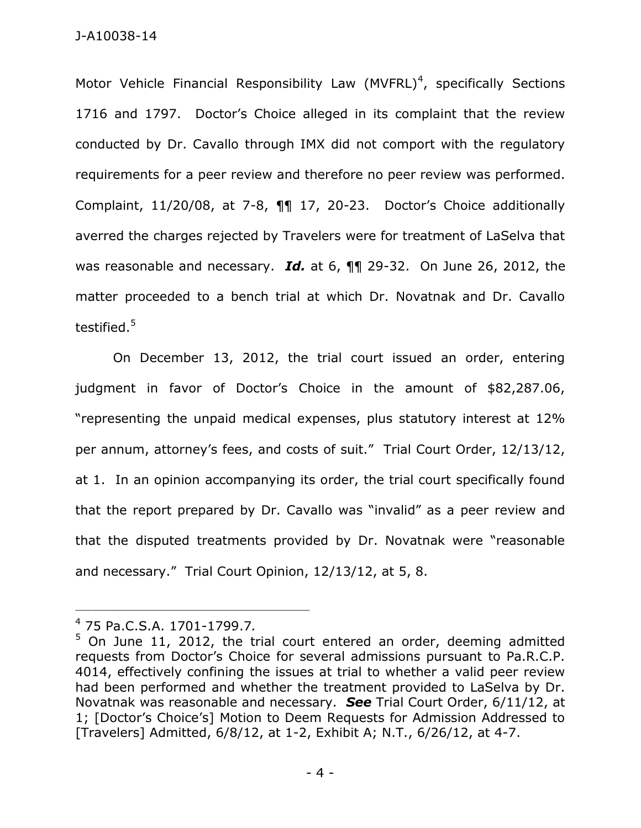Motor Vehicle Financial Responsibility Law  $(MVFRL)^4$ , specifically Sections 1716 and 1797. Doctor's Choice alleged in its complaint that the review conducted by Dr. Cavallo through IMX did not comport with the regulatory requirements for a peer review and therefore no peer review was performed. Complaint, 11/20/08, at 7-8, ¶¶ 17, 20-23. Doctor's Choice additionally averred the charges rejected by Travelers were for treatment of LaSelva that was reasonable and necessary. *Id.* at 6, ¶¶ 29-32. On June 26, 2012, the matter proceeded to a bench trial at which Dr. Novatnak and Dr. Cavallo testified. $^{\rm 5}$ 

On December 13, 2012, the trial court issued an order, entering judgment in favor of Doctor's Choice in the amount of \$82,287.06, "representing the unpaid medical expenses, plus statutory interest at 12% per annum, attorney's fees, and costs of suit." Trial Court Order, 12/13/12, at 1. In an opinion accompanying its order, the trial court specifically found that the report prepared by Dr. Cavallo was "invalid" as a peer review and that the disputed treatments provided by Dr. Novatnak were "reasonable and necessary." Trial Court Opinion, 12/13/12, at 5, 8.

<sup>4</sup> 75 Pa.C.S.A. 1701-1799.7*.*

 $5$  On June 11, 2012, the trial court entered an order, deeming admitted requests from Doctor's Choice for several admissions pursuant to Pa.R.C.P. 4014, effectively confining the issues at trial to whether a valid peer review had been performed and whether the treatment provided to LaSelva by Dr. Novatnak was reasonable and necessary. *See* Trial Court Order, 6/11/12, at 1; [Doctor's Choice's] Motion to Deem Requests for Admission Addressed to [Travelers] Admitted, 6/8/12, at 1-2, Exhibit A; N.T., 6/26/12, at 4-7.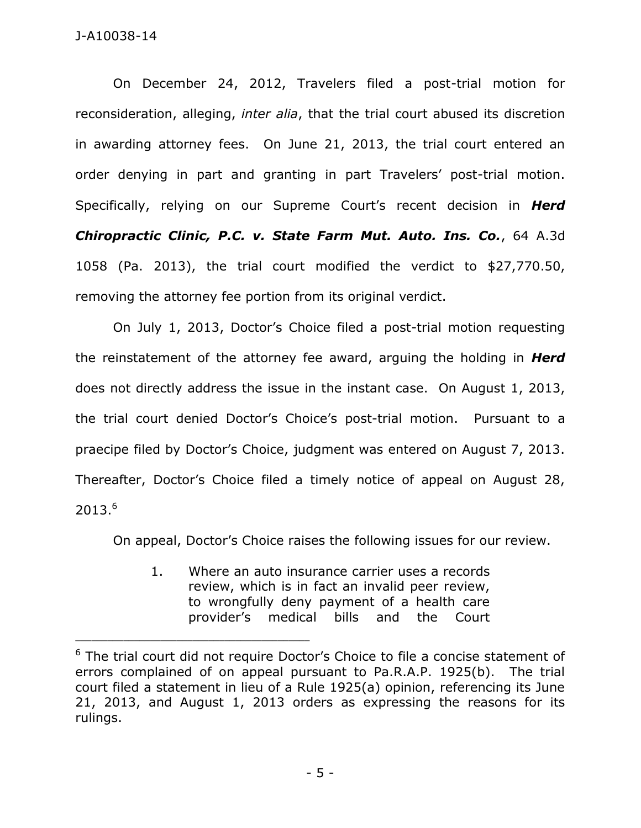On December 24, 2012, Travelers filed a post-trial motion for reconsideration, alleging, *inter alia*, that the trial court abused its discretion in awarding attorney fees. On June 21, 2013, the trial court entered an order denying in part and granting in part Travelers' post-trial motion. Specifically, relying on our Supreme Court's recent decision in *Herd Chiropractic Clinic, P.C. v. State Farm Mut. Auto. Ins. Co.*, 64 A.3d 1058 (Pa. 2013), the trial court modified the verdict to \$27,770.50, removing the attorney fee portion from its original verdict.

On July 1, 2013, Doctor's Choice filed a post-trial motion requesting the reinstatement of the attorney fee award, arguing the holding in *Herd* does not directly address the issue in the instant case. On August 1, 2013, the trial court denied Doctor's Choice's post-trial motion. Pursuant to a praecipe filed by Doctor's Choice, judgment was entered on August 7, 2013. Thereafter, Doctor's Choice filed a timely notice of appeal on August 28, 2013.<sup>6</sup>

On appeal, Doctor's Choice raises the following issues for our review.

1. Where an auto insurance carrier uses a records review, which is in fact an invalid peer review, to wrongfully deny payment of a health care provider's medical bills and the Court

 $6$  The trial court did not require Doctor's Choice to file a concise statement of errors complained of on appeal pursuant to Pa.R.A.P. 1925(b). The trial court filed a statement in lieu of a Rule 1925(a) opinion, referencing its June 21, 2013, and August 1, 2013 orders as expressing the reasons for its rulings.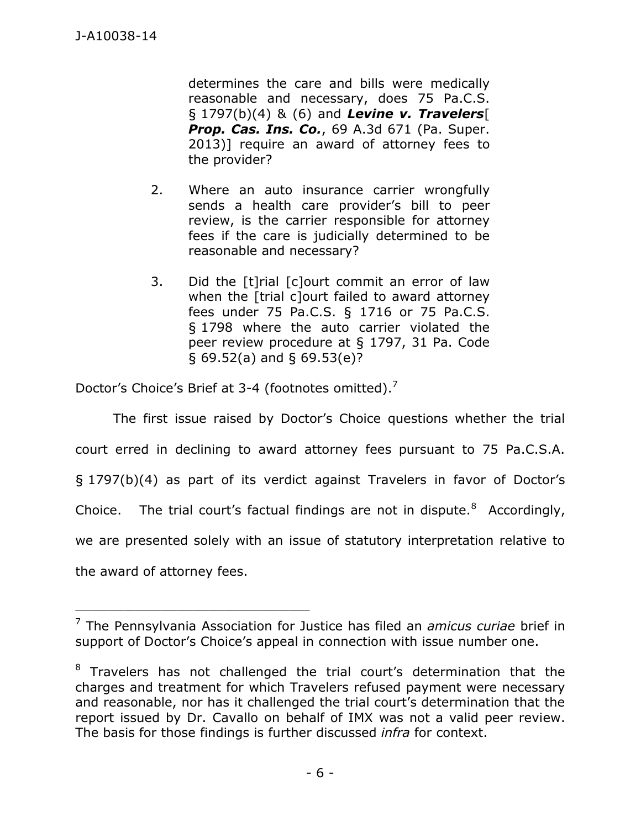determines the care and bills were medically reasonable and necessary, does 75 Pa.C.S. § 1797(b)(4) & (6) and *Levine v. Travelers*[ *Prop. Cas. Ins. Co.*, 69 A.3d 671 (Pa. Super. 2013)] require an award of attorney fees to the provider?

- 2. Where an auto insurance carrier wrongfully sends a health care provider's bill to peer review, is the carrier responsible for attorney fees if the care is judicially determined to be reasonable and necessary?
- 3. Did the [t]rial [c]ourt commit an error of law when the [trial c]ourt failed to award attorney fees under 75 Pa.C.S. § 1716 or 75 Pa.C.S. § 1798 where the auto carrier violated the peer review procedure at § 1797, 31 Pa. Code § 69.52(a) and § 69.53(e)?

Doctor's Choice's Brief at 3-4 (footnotes omitted).<sup>7</sup>

\_\_\_\_\_\_\_\_\_\_\_\_\_\_\_\_\_\_\_\_\_\_\_\_\_\_\_\_\_\_\_\_\_\_\_\_\_\_\_\_\_\_\_\_

The first issue raised by Doctor's Choice questions whether the trial court erred in declining to award attorney fees pursuant to 75 Pa.C.S.A. § 1797(b)(4) as part of its verdict against Travelers in favor of Doctor's Choice. The trial court's factual findings are not in dispute. $8$  Accordingly, we are presented solely with an issue of statutory interpretation relative to the award of attorney fees.

<sup>7</sup> The Pennsylvania Association for Justice has filed an *amicus curiae* brief in support of Doctor's Choice's appeal in connection with issue number one.

<sup>&</sup>lt;sup>8</sup> Travelers has not challenged the trial court's determination that the charges and treatment for which Travelers refused payment were necessary and reasonable, nor has it challenged the trial court's determination that the report issued by Dr. Cavallo on behalf of IMX was not a valid peer review. The basis for those findings is further discussed *infra* for context.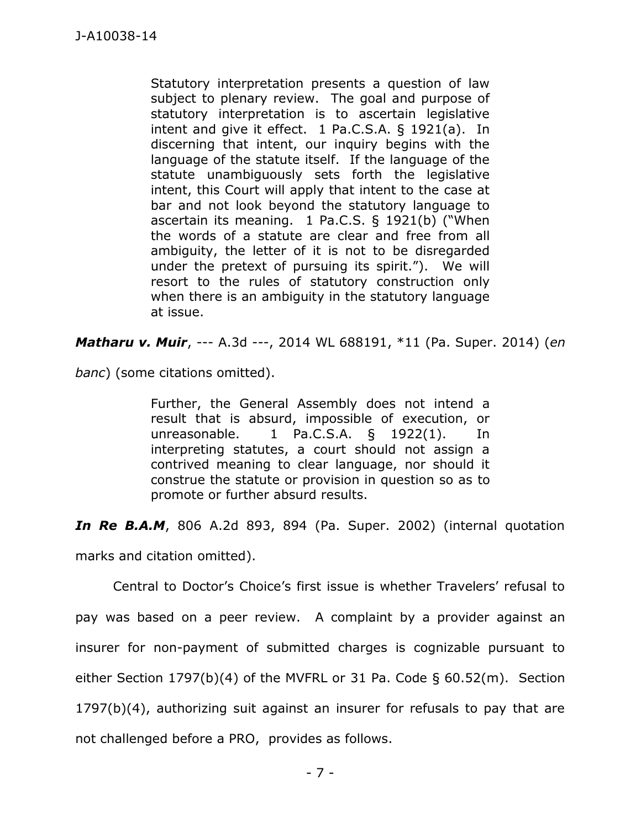Statutory interpretation presents a question of law subject to plenary review. The goal and purpose of statutory interpretation is to ascertain legislative intent and give it effect. 1 Pa.C.S.A. § 1921(a). In discerning that intent, our inquiry begins with the language of the statute itself. If the language of the statute unambiguously sets forth the legislative intent, this Court will apply that intent to the case at bar and not look beyond the statutory language to ascertain its meaning. 1 Pa.C.S. § 1921(b) ("When the words of a statute are clear and free from all ambiguity, the letter of it is not to be disregarded under the pretext of pursuing its spirit."). We will resort to the rules of statutory construction only when there is an ambiguity in the statutory language at issue.

*Matharu v. Muir*, --- A.3d ---, 2014 WL 688191, \*11 (Pa. Super. 2014) (*en* 

*banc*) (some citations omitted).

Further, the General Assembly does not intend a result that is absurd, impossible of execution, or unreasonable. 1 Pa.C.S.A. § 1922(1). In interpreting statutes, a court should not assign a contrived meaning to clear language, nor should it construe the statute or provision in question so as to promote or further absurd results.

*In Re B.A.M*, 806 A.2d 893, 894 (Pa. Super. 2002) (internal quotation marks and citation omitted).

Central to Doctor's Choice's first issue is whether Travelers' refusal to pay was based on a peer review. A complaint by a provider against an insurer for non-payment of submitted charges is cognizable pursuant to either Section 1797(b)(4) of the MVFRL or 31 Pa. Code § 60.52(m). Section 1797(b)(4), authorizing suit against an insurer for refusals to pay that are not challenged before a PRO, provides as follows.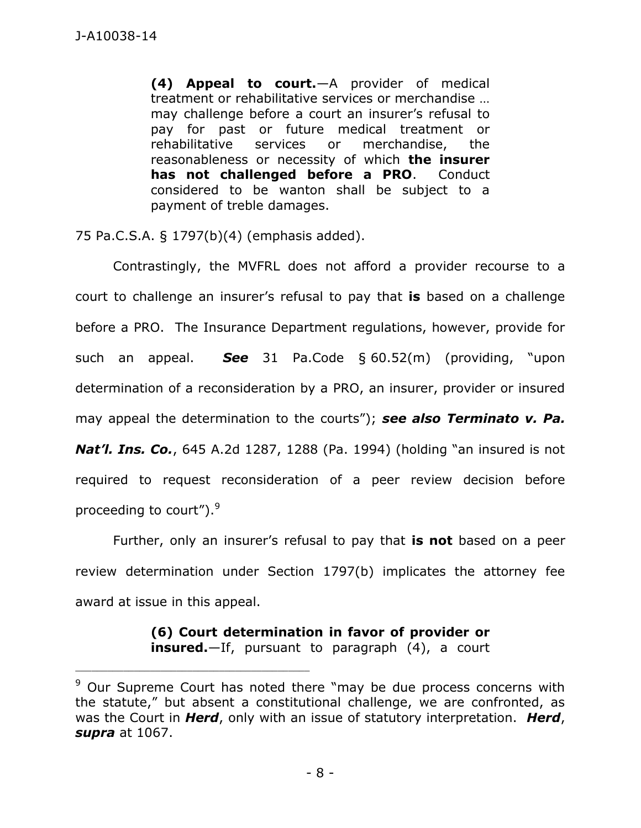**(4) Appeal to court.**—A provider of medical treatment or rehabilitative services or merchandise … may challenge before a court an insurer's refusal to pay for past or future medical treatment or rehabilitative services or merchandise, the reasonableness or necessity of which **the insurer has not challenged before a PRO**. Conduct considered to be wanton shall be subject to a payment of treble damages.

75 Pa.C.S.A. § 1797(b)(4) (emphasis added).

Contrastingly, the MVFRL does not afford a provider recourse to a court to challenge an insurer's refusal to pay that **is** based on a challenge before a PRO. The Insurance Department regulations, however, provide for such an appeal. *See* 31 Pa.Code § 60.52(m) (providing, "upon determination of a reconsideration by a PRO, an insurer, provider or insured may appeal the determination to the courts"); *see also Terminato v. Pa. Nat'l. Ins. Co.*, 645 A.2d 1287, 1288 (Pa. 1994) (holding "an insured is not required to request reconsideration of a peer review decision before

proceeding to court").<sup>9</sup>

\_\_\_\_\_\_\_\_\_\_\_\_\_\_\_\_\_\_\_\_\_\_\_\_\_\_\_\_\_\_\_\_\_\_\_\_\_\_\_\_\_\_\_\_

Further, only an insurer's refusal to pay that **is not** based on a peer review determination under Section 1797(b) implicates the attorney fee award at issue in this appeal.

> **(6) Court determination in favor of provider or insured.**—If, pursuant to paragraph (4), a court

<sup>&</sup>lt;sup>9</sup> Our Supreme Court has noted there "may be due process concerns with the statute," but absent a constitutional challenge, we are confronted, as was the Court in *Herd*, only with an issue of statutory interpretation. *Herd*, *supra* at 1067.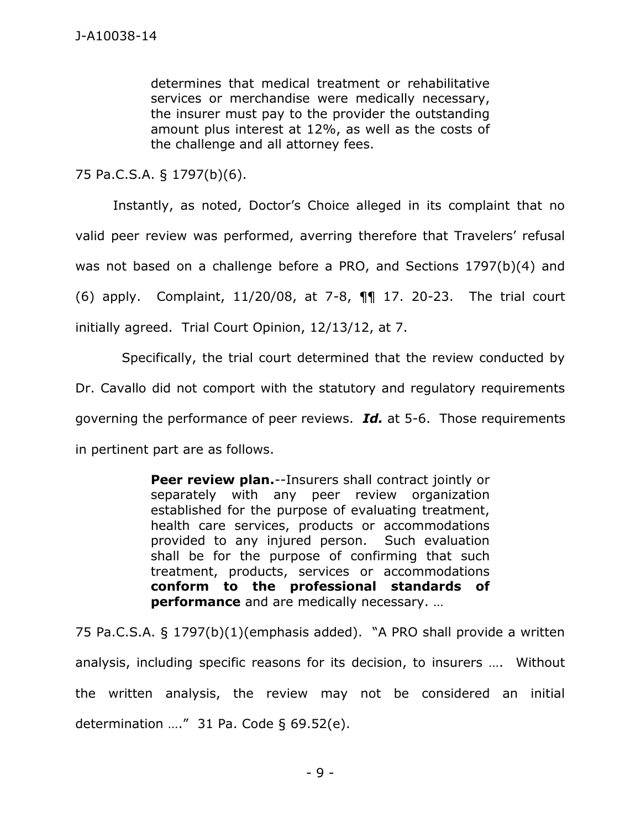determines that medical treatment or rehabilitative services or merchandise were medically necessary, the insurer must pay to the provider the outstanding amount plus interest at 12%, as well as the costs of the challenge and all attorney fees.

75 Pa.C.S.A. § 1797(b)(6).

Instantly, as noted, Doctor's Choice alleged in its complaint that no valid peer review was performed, averring therefore that Travelers' refusal was not based on a challenge before a PRO, and Sections 1797(b)(4) and (6) apply. Complaint, 11/20/08, at 7-8, ¶¶ 17. 20-23. The trial court initially agreed. Trial Court Opinion, 12/13/12, at 7.

 Specifically, the trial court determined that the review conducted by Dr. Cavallo did not comport with the statutory and regulatory requirements governing the performance of peer reviews. *Id.* at 5-6. Those requirements in pertinent part are as follows.

> **Peer review plan.**--Insurers shall contract jointly or separately with any peer review organization established for the purpose of evaluating treatment, health care services, products or accommodations provided to any injured person. Such evaluation shall be for the purpose of confirming that such treatment, products, services or accommodations **conform to the professional standards of performance** and are medically necessary. …

75 Pa.C.S.A. § 1797(b)(1)(emphasis added). "A PRO shall provide a written analysis, including specific reasons for its decision, to insurers …. Without the written analysis, the review may not be considered an initial determination  $\ldots$ " 31 Pa. Code § 69.52(e).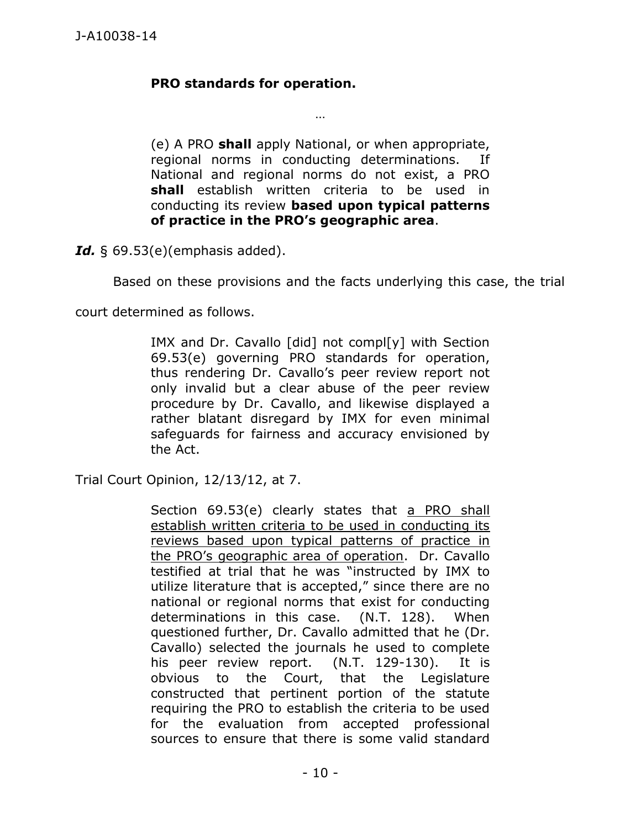# **PRO standards for operation.**

(e) A PRO **shall** apply National, or when appropriate, regional norms in conducting determinations. If National and regional norms do not exist, a PRO **shall** establish written criteria to be used in conducting its review **based upon typical patterns of practice in the PRO's geographic area**.

…

*Id.* § 69.53(e)(emphasis added).

Based on these provisions and the facts underlying this case, the trial

court determined as follows.

IMX and Dr. Cavallo [did] not compl[y] with Section 69.53(e) governing PRO standards for operation, thus rendering Dr. Cavallo's peer review report not only invalid but a clear abuse of the peer review procedure by Dr. Cavallo, and likewise displayed a rather blatant disregard by IMX for even minimal safeguards for fairness and accuracy envisioned by the Act.

Trial Court Opinion, 12/13/12, at 7.

Section 69.53(e) clearly states that a PRO shall establish written criteria to be used in conducting its reviews based upon typical patterns of practice in the PRO's geographic area of operation. Dr. Cavallo testified at trial that he was "instructed by IMX to utilize literature that is accepted," since there are no national or regional norms that exist for conducting determinations in this case. (N.T. 128). When questioned further, Dr. Cavallo admitted that he (Dr. Cavallo) selected the journals he used to complete his peer review report. (N.T. 129-130). It is obvious to the Court, that the Legislature constructed that pertinent portion of the statute requiring the PRO to establish the criteria to be used for the evaluation from accepted professional sources to ensure that there is some valid standard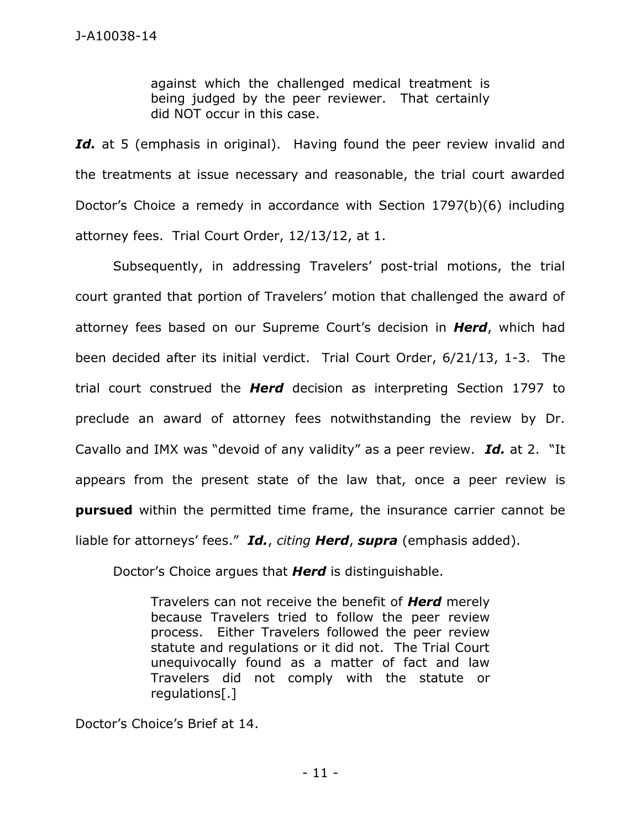against which the challenged medical treatment is being judged by the peer reviewer. That certainly did NOT occur in this case.

Id. at 5 (emphasis in original). Having found the peer review invalid and the treatments at issue necessary and reasonable, the trial court awarded Doctor's Choice a remedy in accordance with Section 1797(b)(6) including attorney fees. Trial Court Order, 12/13/12, at 1.

 Subsequently, in addressing Travelers' post-trial motions, the trial court granted that portion of Travelers' motion that challenged the award of attorney fees based on our Supreme Court's decision in *Herd*, which had been decided after its initial verdict. Trial Court Order, 6/21/13, 1-3. The trial court construed the *Herd* decision as interpreting Section 1797 to preclude an award of attorney fees notwithstanding the review by Dr. Cavallo and IMX was "devoid of any validity" as a peer review. *Id.* at 2. "It appears from the present state of the law that, once a peer review is **pursued** within the permitted time frame, the insurance carrier cannot be liable for attorneys' fees." *Id.*, *citing Herd*, *supra* (emphasis added).

Doctor's Choice argues that *Herd* is distinguishable.

Travelers can not receive the benefit of *Herd* merely because Travelers tried to follow the peer review process. Either Travelers followed the peer review statute and regulations or it did not. The Trial Court unequivocally found as a matter of fact and law Travelers did not comply with the statute or regulations[.]

Doctor's Choice's Brief at 14.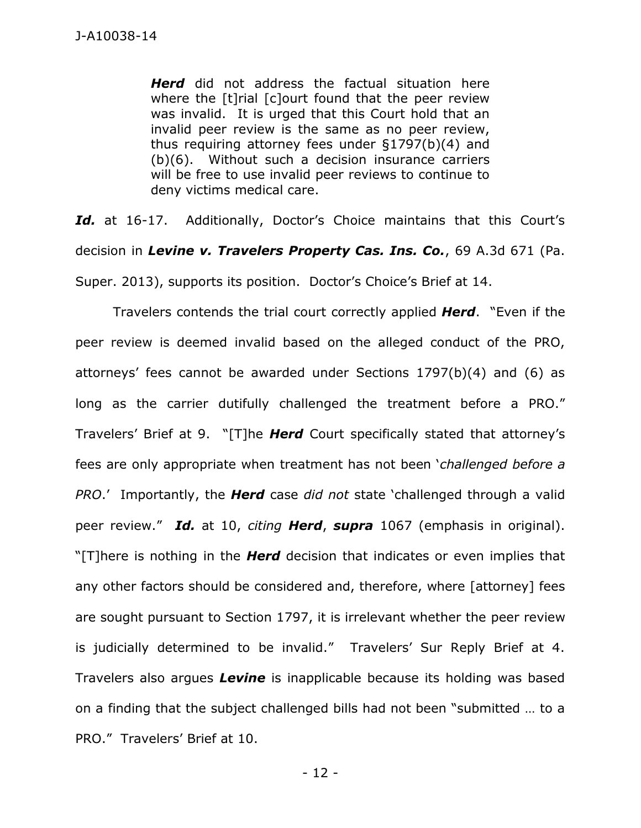*Herd* did not address the factual situation here where the [t]rial [c]ourt found that the peer review was invalid. It is urged that this Court hold that an invalid peer review is the same as no peer review, thus requiring attorney fees under §1797(b)(4) and (b)(6). Without such a decision insurance carriers will be free to use invalid peer reviews to continue to deny victims medical care.

Id. at 16-17. Additionally, Doctor's Choice maintains that this Court's decision in *Levine v. Travelers Property Cas. Ins. Co.*, 69 A.3d 671 (Pa. Super. 2013), supports its position. Doctor's Choice's Brief at 14.

 Travelers contends the trial court correctly applied *Herd*. "Even if the peer review is deemed invalid based on the alleged conduct of the PRO, attorneys' fees cannot be awarded under Sections 1797(b)(4) and (6) as long as the carrier dutifully challenged the treatment before a PRO." Travelers' Brief at 9. "[T]he *Herd* Court specifically stated that attorney's fees are only appropriate when treatment has not been '*challenged before a PRO*.' Importantly, the *Herd* case *did not* state 'challenged through a valid peer review." *Id.* at 10, *citing Herd*, *supra* 1067 (emphasis in original). "[T]here is nothing in the *Herd* decision that indicates or even implies that any other factors should be considered and, therefore, where [attorney] fees are sought pursuant to Section 1797, it is irrelevant whether the peer review is judicially determined to be invalid." Travelers' Sur Reply Brief at 4. Travelers also argues *Levine* is inapplicable because its holding was based on a finding that the subject challenged bills had not been "submitted … to a PRO." Travelers' Brief at 10.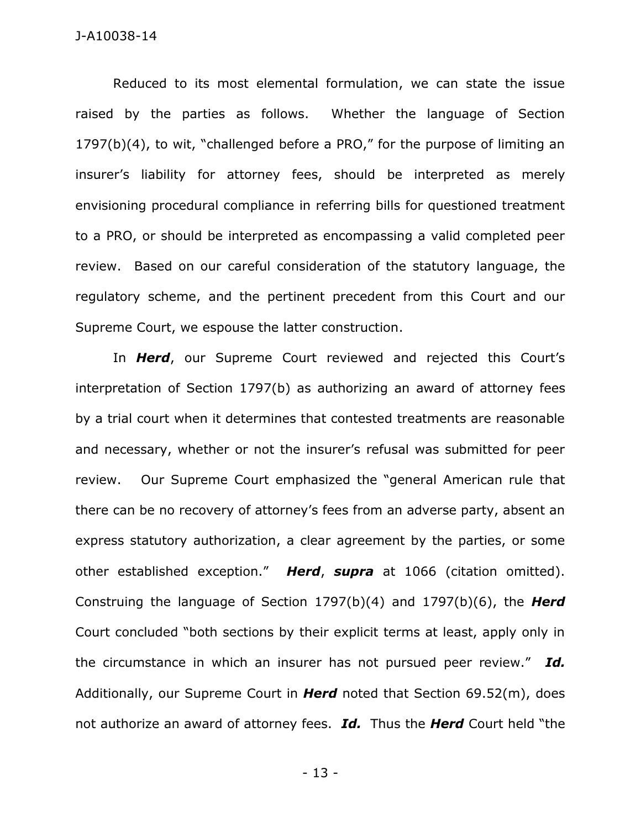Reduced to its most elemental formulation, we can state the issue raised by the parties as follows. Whether the language of Section 1797(b)(4), to wit, "challenged before a PRO," for the purpose of limiting an insurer's liability for attorney fees, should be interpreted as merely envisioning procedural compliance in referring bills for questioned treatment to a PRO, or should be interpreted as encompassing a valid completed peer review. Based on our careful consideration of the statutory language, the regulatory scheme, and the pertinent precedent from this Court and our Supreme Court, we espouse the latter construction.

In *Herd*, our Supreme Court reviewed and rejected this Court's interpretation of Section 1797(b) as authorizing an award of attorney fees by a trial court when it determines that contested treatments are reasonable and necessary, whether or not the insurer's refusal was submitted for peer review. Our Supreme Court emphasized the "general American rule that there can be no recovery of attorney's fees from an adverse party, absent an express statutory authorization, a clear agreement by the parties, or some other established exception." *Herd*, *supra* at 1066 (citation omitted). Construing the language of Section 1797(b)(4) and 1797(b)(6), the *Herd*  Court concluded "both sections by their explicit terms at least, apply only in the circumstance in which an insurer has not pursued peer review." *Id.* Additionally, our Supreme Court in *Herd* noted that Section 69.52(m), does not authorize an award of attorney fees. *Id.* Thus the *Herd* Court held "the

- 13 -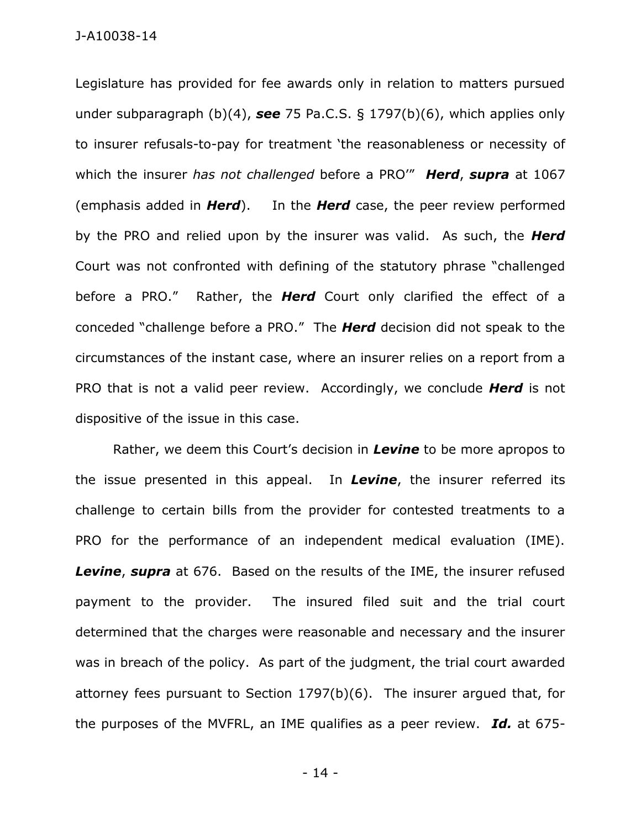Legislature has provided for fee awards only in relation to matters pursued under subparagraph (b)(4), *see* 75 Pa.C.S. § 1797(b)(6), which applies only to insurer refusals-to-pay for treatment 'the reasonableness or necessity of which the insurer *has not challenged* before a PRO'" *Herd*, *supra* at 1067 (emphasis added in *Herd*). In the *Herd* case, the peer review performed by the PRO and relied upon by the insurer was valid. As such, the *Herd* Court was not confronted with defining of the statutory phrase "challenged before a PRO." Rather, the *Herd* Court only clarified the effect of a conceded "challenge before a PRO." The *Herd* decision did not speak to the circumstances of the instant case, where an insurer relies on a report from a PRO that is not a valid peer review. Accordingly, we conclude *Herd* is not dispositive of the issue in this case.

Rather, we deem this Court's decision in *Levine* to be more apropos to the issue presented in this appeal. In *Levine*, the insurer referred its challenge to certain bills from the provider for contested treatments to a PRO for the performance of an independent medical evaluation (IME). *Levine*, *supra* at 676. Based on the results of the IME, the insurer refused payment to the provider. The insured filed suit and the trial court determined that the charges were reasonable and necessary and the insurer was in breach of the policy. As part of the judgment, the trial court awarded attorney fees pursuant to Section 1797(b)(6). The insurer argued that, for the purposes of the MVFRL, an IME qualifies as a peer review. *Id.* at 675-

- 14 -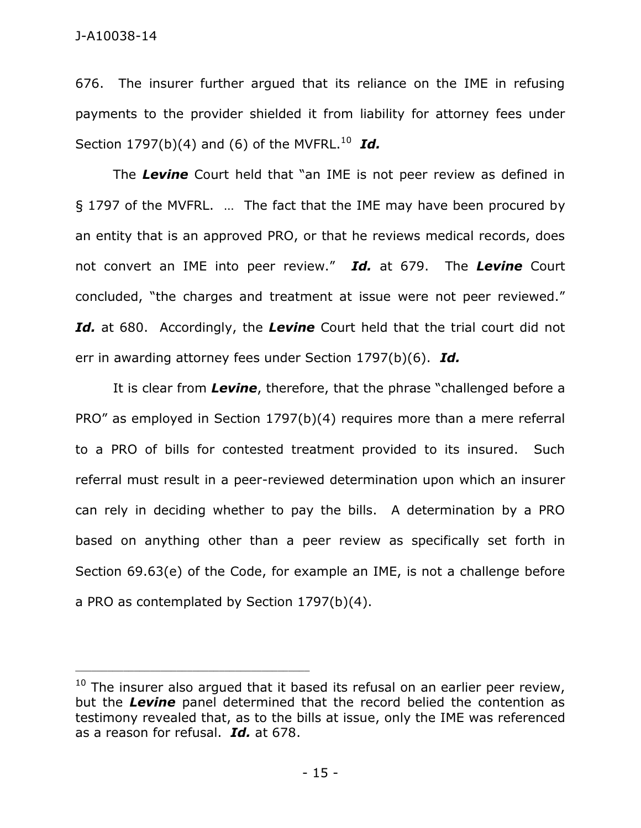676. The insurer further argued that its reliance on the IME in refusing payments to the provider shielded it from liability for attorney fees under Section  $1797(b)(4)$  and (6) of the MVFRL.<sup>10</sup> Id.

The *Levine* Court held that "an IME is not peer review as defined in § 1797 of the MVFRL. … The fact that the IME may have been procured by an entity that is an approved PRO, or that he reviews medical records, does not convert an IME into peer review." *Id.* at 679. The *Levine* Court concluded, "the charges and treatment at issue were not peer reviewed." *Id.* at 680. Accordingly, the *Levine* Court held that the trial court did not err in awarding attorney fees under Section 1797(b)(6). *Id.*

 It is clear from *Levine*, therefore, that the phrase "challenged before a PRO" as employed in Section 1797(b)(4) requires more than a mere referral to a PRO of bills for contested treatment provided to its insured. Such referral must result in a peer-reviewed determination upon which an insurer can rely in deciding whether to pay the bills. A determination by a PRO based on anything other than a peer review as specifically set forth in Section 69.63(e) of the Code, for example an IME, is not a challenge before a PRO as contemplated by Section 1797(b)(4).

 $10$  The insurer also argued that it based its refusal on an earlier peer review, but the *Levine* panel determined that the record belied the contention as testimony revealed that, as to the bills at issue, only the IME was referenced as a reason for refusal. *Id.* at 678.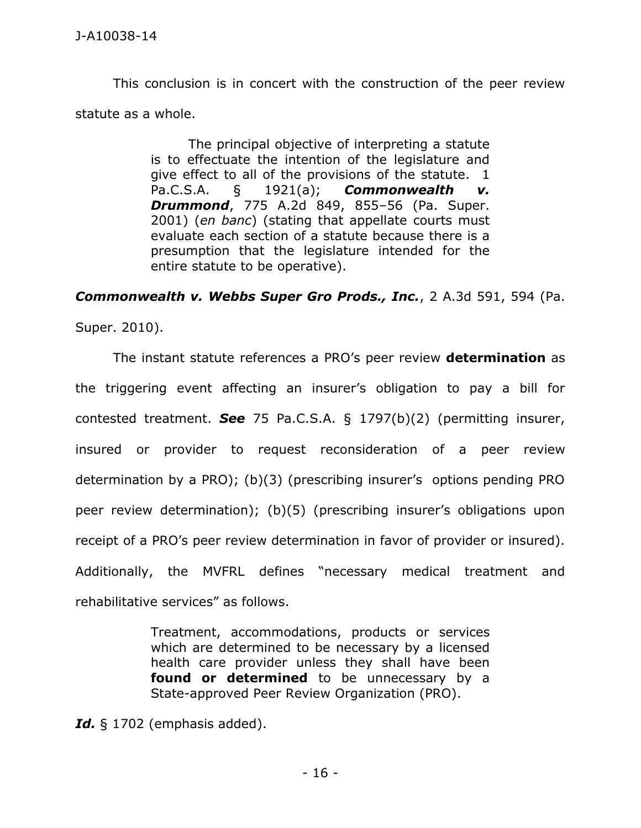This conclusion is in concert with the construction of the peer review statute as a whole.

> The principal objective of interpreting a statute is to effectuate the intention of the legislature and give effect to all of the provisions of the statute. 1 Pa.C.S.A. § 1921(a); *Commonwealth v. Drummond*, 775 A.2d 849, 855–56 (Pa. Super. 2001) (*en banc*) (stating that appellate courts must evaluate each section of a statute because there is a presumption that the legislature intended for the entire statute to be operative).

*Commonwealth v. Webbs Super Gro Prods., Inc.*, 2 A.3d 591, 594 (Pa.

Super. 2010).

The instant statute references a PRO's peer review **determination** as the triggering event affecting an insurer's obligation to pay a bill for contested treatment. *See* 75 Pa.C.S.A. § 1797(b)(2) (permitting insurer, insured or provider to request reconsideration of a peer review determination by a PRO); (b)(3) (prescribing insurer's options pending PRO peer review determination); (b)(5) (prescribing insurer's obligations upon receipt of a PRO's peer review determination in favor of provider or insured). Additionally, the MVFRL defines "necessary medical treatment and rehabilitative services" as follows.

> Treatment, accommodations, products or services which are determined to be necessary by a licensed health care provider unless they shall have been **found or determined** to be unnecessary by a State-approved Peer Review Organization (PRO).

*Id.* § 1702 (emphasis added).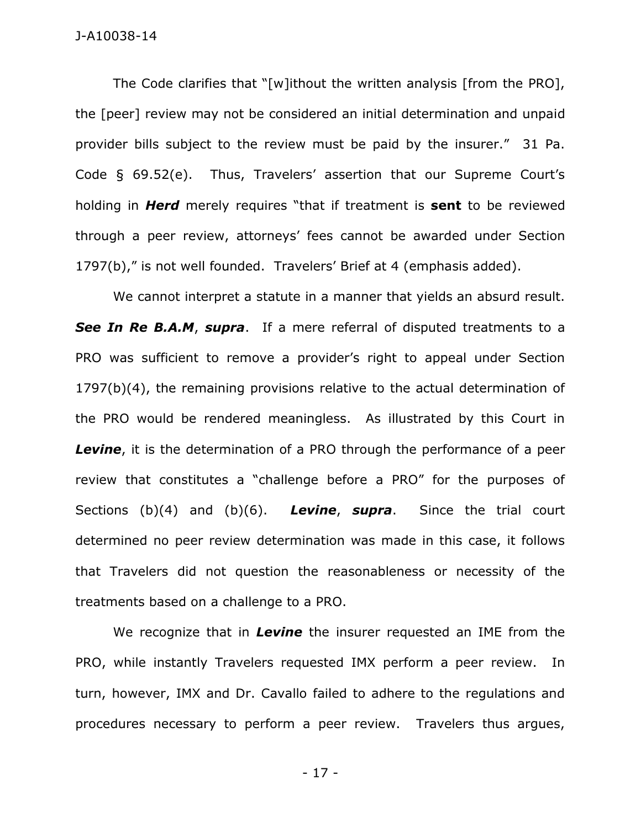The Code clarifies that "[w]ithout the written analysis [from the PRO], the [peer] review may not be considered an initial determination and unpaid provider bills subject to the review must be paid by the insurer." 31 Pa. Code § 69.52(e). Thus, Travelers' assertion that our Supreme Court's holding in *Herd* merely requires "that if treatment is **sent** to be reviewed through a peer review, attorneys' fees cannot be awarded under Section 1797(b)," is not well founded. Travelers' Brief at 4 (emphasis added).

We cannot interpret a statute in a manner that yields an absurd result. *See In Re B.A.M*, *supra*. If a mere referral of disputed treatments to a PRO was sufficient to remove a provider's right to appeal under Section 1797(b)(4), the remaining provisions relative to the actual determination of the PRO would be rendered meaningless. As illustrated by this Court in **Levine**, it is the determination of a PRO through the performance of a peer review that constitutes a "challenge before a PRO" for the purposes of Sections (b)(4) and (b)(6). *Levine*, *supra*. Since the trial court determined no peer review determination was made in this case, it follows that Travelers did not question the reasonableness or necessity of the treatments based on a challenge to a PRO.

We recognize that in *Levine* the insurer requested an IME from the PRO, while instantly Travelers requested IMX perform a peer review. In turn, however, IMX and Dr. Cavallo failed to adhere to the regulations and procedures necessary to perform a peer review. Travelers thus argues,

- 17 -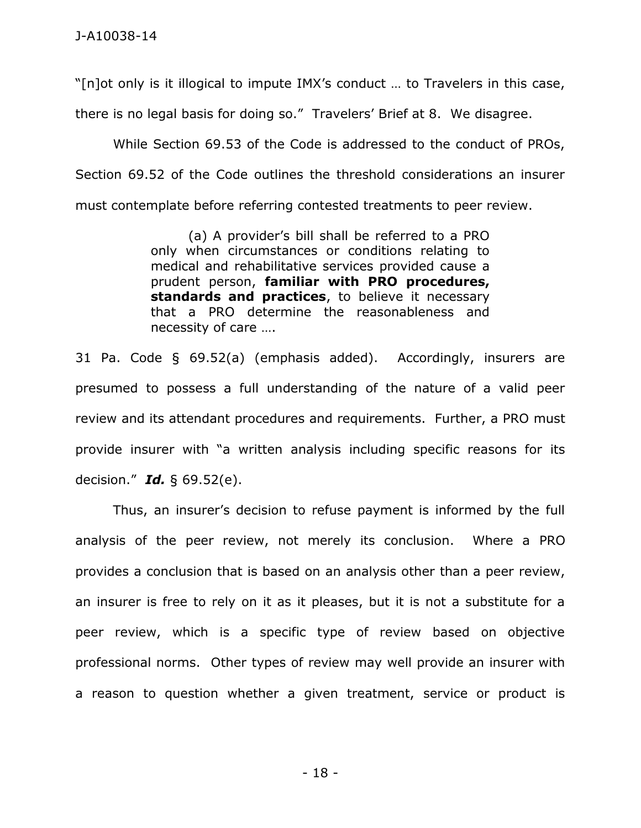"[n]ot only is it illogical to impute IMX's conduct … to Travelers in this case, there is no legal basis for doing so." Travelers' Brief at 8. We disagree.

While Section 69.53 of the Code is addressed to the conduct of PROs, Section 69.52 of the Code outlines the threshold considerations an insurer must contemplate before referring contested treatments to peer review.

> (a) A provider's bill shall be referred to a PRO only when circumstances or conditions relating to medical and rehabilitative services provided cause a prudent person, **familiar with PRO procedures, standards and practices**, to believe it necessary that a PRO determine the reasonableness and necessity of care ….

31 Pa. Code § 69.52(a) (emphasis added). Accordingly, insurers are presumed to possess a full understanding of the nature of a valid peer review and its attendant procedures and requirements. Further, a PRO must provide insurer with "a written analysis including specific reasons for its decision." *Id.* § 69.52(e).

Thus, an insurer's decision to refuse payment is informed by the full analysis of the peer review, not merely its conclusion. Where a PRO provides a conclusion that is based on an analysis other than a peer review, an insurer is free to rely on it as it pleases, but it is not a substitute for a peer review, which is a specific type of review based on objective professional norms. Other types of review may well provide an insurer with a reason to question whether a given treatment, service or product is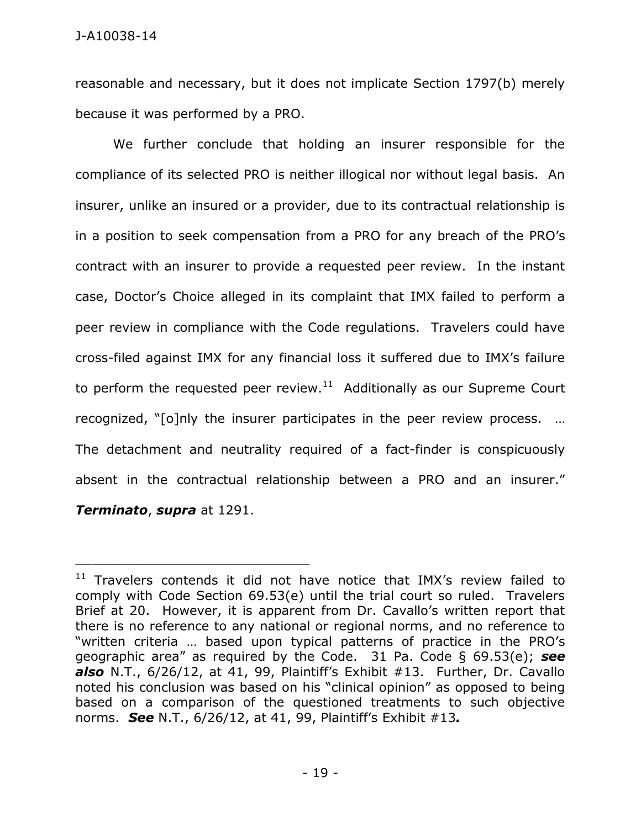reasonable and necessary, but it does not implicate Section 1797(b) merely because it was performed by a PRO.

We further conclude that holding an insurer responsible for the compliance of its selected PRO is neither illogical nor without legal basis. An insurer, unlike an insured or a provider, due to its contractual relationship is in a position to seek compensation from a PRO for any breach of the PRO's contract with an insurer to provide a requested peer review. In the instant case, Doctor's Choice alleged in its complaint that IMX failed to perform a peer review in compliance with the Code regulations. Travelers could have cross-filed against IMX for any financial loss it suffered due to IMX's failure to perform the requested peer review. $^{11}$  Additionally as our Supreme Court recognized, "[o]nly the insurer participates in the peer review process. … The detachment and neutrality required of a fact-finder is conspicuously absent in the contractual relationship between a PRO and an insurer." *Terminato*, *supra* at 1291.

 $11$  Travelers contends it did not have notice that IMX's review failed to comply with Code Section 69.53(e) until the trial court so ruled. Travelers Brief at 20. However, it is apparent from Dr. Cavallo's written report that there is no reference to any national or regional norms, and no reference to "written criteria … based upon typical patterns of practice in the PRO's geographic area" as required by the Code. 31 Pa. Code § 69.53(e); *see also* N.T., 6/26/12, at 41, 99, Plaintiff's Exhibit #13. Further, Dr. Cavallo noted his conclusion was based on his "clinical opinion" as opposed to being based on a comparison of the questioned treatments to such objective norms. *See* N.T., 6/26/12, at 41, 99, Plaintiff's Exhibit #13*.*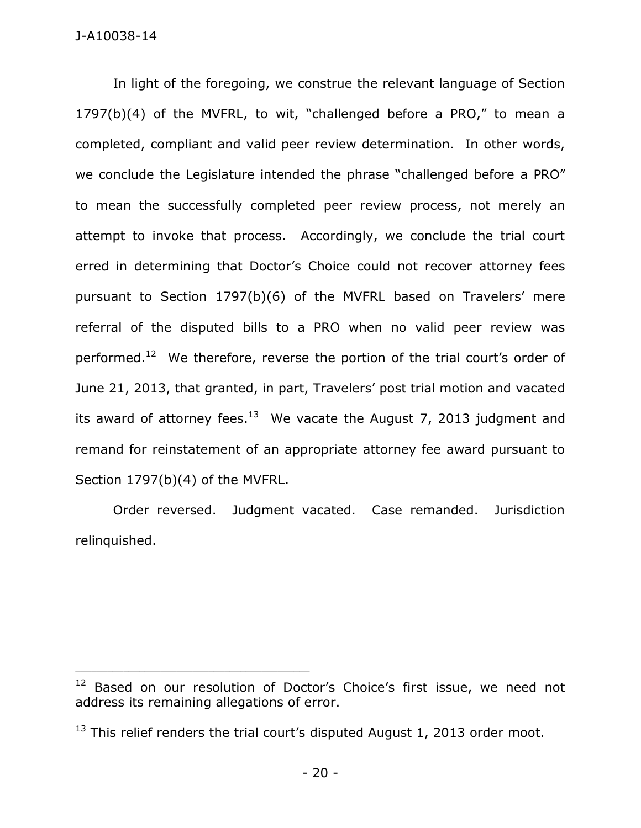In light of the foregoing, we construe the relevant language of Section 1797(b)(4) of the MVFRL, to wit, "challenged before a PRO," to mean a completed, compliant and valid peer review determination. In other words, we conclude the Legislature intended the phrase "challenged before a PRO" to mean the successfully completed peer review process, not merely an attempt to invoke that process. Accordingly, we conclude the trial court erred in determining that Doctor's Choice could not recover attorney fees pursuant to Section 1797(b)(6) of the MVFRL based on Travelers' mere referral of the disputed bills to a PRO when no valid peer review was performed.<sup>12</sup> We therefore, reverse the portion of the trial court's order of June 21, 2013, that granted, in part, Travelers' post trial motion and vacated its award of attorney fees. $^{13}$  We vacate the August 7, 2013 judgment and remand for reinstatement of an appropriate attorney fee award pursuant to Section 1797(b)(4) of the MVFRL.

Order reversed. Judgment vacated. Case remanded. Jurisdiction relinquished.

<sup>&</sup>lt;sup>12</sup> Based on our resolution of Doctor's Choice's first issue, we need not address its remaining allegations of error.

 $13$  This relief renders the trial court's disputed August 1, 2013 order moot.